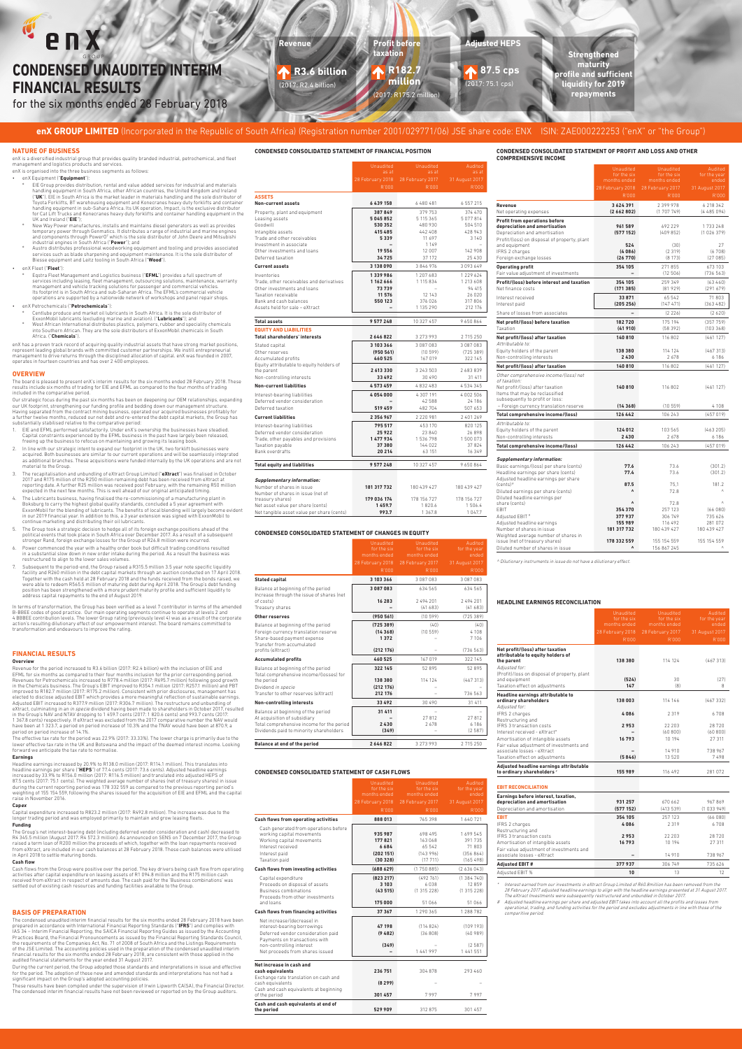#### enX **Revenue Profit before Adjusted HEPS taxation Strengthened CONDENSED UNAUDITED INTERIM maturity R3.6 billion R182.7 87.5 cps profile and sufficient million FINANCIAL RESULTS**  (2017: R2.4 billion) (2017: 75.1 cps) **liquidity for 2019 repayments** (2017: R175.2 mil for the six months ended 28 February 2018 1 de **ITUS**

# **enX GROUP LIMITED** (Incorporated in the Republic of South Africa) (Registration number 2001/029771/06) JSE share code: ENX ISIN: ZAE000222253 ("enX" or "the Group")

# **CONDENSED CONSOLIDATED STATEMENT OF FINANCIAL POSITION CONDENSED CONSOLIDATED STATEMENT OF PROFIT AND LOSS AND OTHER**

| <b>COMPREHENSIVE INCOME</b>                                                                                                                                                                              |                                                          |                                                      |                                                         |
|----------------------------------------------------------------------------------------------------------------------------------------------------------------------------------------------------------|----------------------------------------------------------|------------------------------------------------------|---------------------------------------------------------|
|                                                                                                                                                                                                          | <b>Unaudited</b><br>for the six<br>months ended          | <b>Unaudited</b><br>for the six<br>months ended      | Audited<br>for the year<br>ended                        |
|                                                                                                                                                                                                          | 28 February 2018                                         | 28 February 2017                                     | 31 August 2017                                          |
|                                                                                                                                                                                                          | R'000                                                    | R'000                                                | R'000                                                   |
| Revenue<br>Net operating expenses                                                                                                                                                                        | 3624391<br>(2662802)                                     | 2 399 978<br>(1707749)                               | 6 218 342<br>(4485094)                                  |
| Profit from operations before<br>depreciation and amortisation                                                                                                                                           | 961 589                                                  | 692 229                                              | 1733248                                                 |
| Depreciation and amortisation<br>Profit/(loss) on disposal of property, plant<br>and equipment                                                                                                           | (577152)<br>524                                          | (409852)<br>(30)                                     | (1026379)<br>27                                         |
| IFRS 2 charges<br>Foreign exchange losses                                                                                                                                                                | (4086)<br>(26770)                                        | (2319)<br>(8173)                                     | (6708)<br>(27085)                                       |
| <b>Operating profit</b>                                                                                                                                                                                  | 354 105                                                  | 271855                                               | 673 103                                                 |
| Fair value adjustment of investments                                                                                                                                                                     |                                                          | (12506)                                              | (736563)                                                |
| Profit/(loss) before interest and taxation<br>Net finance costs                                                                                                                                          | 354 105<br>(171385)                                      | 259 349<br>(81929)                                   | (63460)<br>(291679)                                     |
| Interest received<br>Interest paid                                                                                                                                                                       | 33871<br>(205256)                                        | 65 542<br>(147 471)                                  | 71803<br>(363482)                                       |
| Share of losses from associates                                                                                                                                                                          | $\overline{a}$                                           | (2226)                                               | (2620)                                                  |
| Net profit/(loss) before taxation<br>Taxation                                                                                                                                                            | 182720<br>(41910)                                        | 175 194<br>(58392)                                   | (357759)<br>(103368)                                    |
| Net profit/(loss) after taxation                                                                                                                                                                         | 140810                                                   | 116 802                                              | (461127)                                                |
| Attributable to:<br>Equity holders of the parent                                                                                                                                                         | 138 380                                                  | 114 124                                              | (467313)                                                |
| Non-controlling interests                                                                                                                                                                                | 2430                                                     | 2678                                                 | 6 18 6                                                  |
| Net profit/(loss) after taxation                                                                                                                                                                         | 140 810                                                  | 116 802                                              | (461127)                                                |
| Other comprehensive income/(loss) net<br>of taxation:<br>Net profit/(loss) after taxation<br>Items that may be reclassified<br>subsequently to profit or loss:<br>- Foreign currency translation reserve | 140 810<br>(14368)                                       | 116 802<br>(10559)                                   | (461127)<br>4 1 0 8                                     |
| Total comprehensive income/(loss)                                                                                                                                                                        | 126 442                                                  | 106 243                                              | (457019)                                                |
| Attributable to:<br>Equity holders of the parent<br>Non-controlling interests                                                                                                                            | 124 012<br>2430                                          | 103 565<br>2678                                      | (463205)<br>6 18 6                                      |
| Total comprehensive income/(loss)                                                                                                                                                                        | 126 442                                                  | 106 243                                              | (457019)                                                |
| <b>Supplementary information:</b><br>Basic earnings/(loss) per share (cents)<br>Headline earnings per share (cents)                                                                                      | 77.6<br>77.4                                             | 73.6<br>73.6                                         | (301.2)<br>(301.2)                                      |
| Adjusted headline earnings per share<br>$(cents)$ #<br>Diluted earnings per share (cents)                                                                                                                | 87.5<br>٨                                                | 75.1<br>72.8                                         | 181.2                                                   |
| Diluted headline earnings per<br>share (cents)<br><b>FRIT</b><br>Adjusted EBIT #<br>Adjusted headline earnings<br>Number of shares in issue                                                              | $\lambda$<br>354 370<br>377937<br>155 989<br>181 317 732 | 72.8<br>257 123<br>306 749<br>116 492<br>180 439 427 | $\wedge$<br>(66080)<br>735626<br>281 072<br>180 439 427 |
| Weighted average number of shares in<br>issue (net of treasury shares)<br>Diluted number of shares in issue                                                                                              | 178 332 559<br>$\Lambda$                                 | 155 154 559<br>156 867 245                           | 155 154 559<br>$\wedge$                                 |

- EIE Group provides distribution, rental and value added services for industrial and materials handling equipment in South Africa, other African countries, the United Kingdom and Ireland ("**UK**"). EIE in South Africa is the market leader in materials handling and the sole distributor of<br>Toyota Forklifts, BT warehousing equipment and Konecranes heavy duty forklifts and container<br>handling equipment in sub-Sa UK and Ireland ("**EIE**");
- New Way Power manufactures, installs and maintains diesel generators as well as provides temporary power through Genmatics. It distributes a range of industrial and marine engines<br>and components through PowerO<sup>2</sup> which is the sole distributor of John Deere and Mitsubishi<br>industrial engines in South Africa ("**P**
- services such as blade sharpening and equipment maintenance. It is the sole distributor of Biesse equipment and Leitz tooling in South Africa ("**Wood**").

Eqstra Fleet Management and Logistics business ("**EFML**") provides a full spectrum of services including leasing, fleet management, outsourcing solutions, maintenance, warranty management and vehicle tracking solutions for passenger and commercial vehicles. Its footprint is in South Africa and sub-Saharan Africa. The EFML's commercial vehicle operations are supported by a nationwide network of workshops and panel repair shops.

Centlube produce and market oil lubricants in South Africa. It is the sole distributor of ExxonMobil lubricants (excluding marine and aviation). ("**Lubricants**"); and<br>"West African International distributes plastics, polymers, rubber and speciality chemicals<br>into Southern African. They are the sole distributors Africa. ("**Chemicals**").

enX has a proven track record of acquiring quality industrial assets that have strong market positions, represent leading global brands with committed customer partnerships. We instill entrepreneurial<br>management to drive returns through the disciplined allocation of capital. enX was founded in 2007,<br>operates in fourteen coun

^ Dilutionary instruments in issue do not have a dilutionary effect.

# **NATURE OF BUSINESS**

Our strategic focus during the past six months has been on deepening our OEM relationships, expanding our UK footprint, strengthening our funding profile and bedding down our management structure.<br>Having separated from the contract mining business, operated our acquired businesses profitably for<br>a further twelve months, re

enX is a diversified industrial group that provides quality branded industrial, petrochemical, and fleet management and logistics products and services.

# enX is organised into the three business segments as follows:

# • enX Equipment ("**Equipment**"):

# • enX Fleet ("**Fleet**"):

- 1. ElE and EFML performed satisfactorily. Under enX's ownership the businesses have steadied.<br>Capital constraints experienced by the EFML business in the past have largely been released,<br>freeing up the business to refocus
- 2. In line with our strategic intent to expand our footprint in the UK, two forklift businesses were acquired. Both businesses are similar to our current operations and will be seamlessly integrated as additional branches. These acquisitions were funded internally by the UK operations and are not material to the Group.
- 3. The recapitalisation and unbundling of eXtract Group Limited ("**eXtract**") was finalised in October 2017 and R175 million of the R250 million remaining debt has been received from eXtract at<br>reporting date. A further R25 million was received post February, with the remaining R50 million<br>expected in the next few months. T
- 4. The Lubricants business, having finalised the re-commissioning of a manufacturing plant in<br>Boksburg to carry the highest global quality standards, concluded a 5 year agreement with<br>ExxonMobil for the blending of lubr in our 2019 financial year. In addition to this, a 3 year extension was signed with ExxonMobil to continue marketing and distributing their oil lubricants.
- 5. The Group took a strategic decision to hedge all of its foreign exchange positions ahead of the political events that took place in South Africa over December 2017. As a result of a subsequent stronger Rand, foreign exchange losses for the Group of R26.8 million were incurred.
- 6. Power commenced the year with a healthy order book but difficult trading conditions resulted in a substantial slow down in new order intake during the period. As a result the business was restructured to align to the lower sales volumes.
- 7. Subsequent to the period-end, the Group raised a R315.5 million 3.5 year note specific liquidity<br>facility and R260 million in the debt capital markets through an auction conducted on 17 April 2018.<br>Together with the cas were able to redeem R565.5 million of maturing debt during April 2018. The Group's debt funding position has been strengthened with a more prudent maturity profile and sufficient liquidity to address capital repayments to the end of August 2019.

In terms of transformation, the Group has been verified as a level 7 contributor in terms of the amended B-BBEE codes of good practice. Our main operating segments continue to operate at levels 2 and<br>4 BBBEE contribution levels. The lower Group rating (previously level 4) was as a result of the corporate<br>action's resulting d transformation and endeavours to improve the rating.

# • enX Petrochemicals ("**Petrochemicals**"):

### **OVERVIEW**

The board is pleased to present enX's interim results for the six months ended 28 February 2018. These<br>results include six months of trading for EIE and EFML as compared to the four months of trading<br>included in the compar

 Interest earned from our investments in eXtract Group Limited of R60.8million has been removed from the 28 February 2017 adjusted headline earnings to align with the headline earnings presented at 31 August 2017. meer est earned in omt our investinents in extit acts of oup Linnieu or hoot, omnition and suberi<br>28 February 2017 adjusted headline earnings to align with the headline earnings present<br>The eXtract Investments were subsequ

# Adjusted headline earnings per share and adjusted EBIT takes into account all the profits and losses from operational, trading, and funding activities for the period and excludes adjustments in line with those of the mparitive period

Headline earnings increased by 20.9% to R138.0 million (2017: R114.1 million). This translates into headline earnings per share ("**HEPS**") of 77.4 cents (2017: 73.6 cents). Adjusted headline earnings increased by 33.9% to R156.0 million (2017: R116.5 million) and translated into adjusted HEPS of 87.5 cents (2017: 75.1 cents). The weighted average number of shares (net of treasury shares) in issue<br>during the current reporting period was 178 332 559 as compared to the previous reporting period's<br>weighting of 155 154

The Group's net interest-bearing debt (including deferred vendor consideration and cash) decreased to<br>R4 345.5 million (August 2017: R4 572.3 million). As announced on SENS on 7 December 2017, the Group<br>raised a term loan from eXtract, are included in our cash balances at 28 February 2018. These cash balances were utilised in April 2018 to settle maturing bonds.

# **CONDENSED CONSOLIDATED STATEMENT OF CHANGES IN EQUITY**

|                                                                                                           | <b>Unaudited</b><br>for the six<br>months ended | <b>Unaudited</b><br>for the six<br>months ended | Audited<br>for the year<br>ended |
|-----------------------------------------------------------------------------------------------------------|-------------------------------------------------|-------------------------------------------------|----------------------------------|
|                                                                                                           | 28 February 2018                                | 28 February 2017                                | 31 August 2017                   |
|                                                                                                           | R'000                                           | R'000                                           | R'000                            |
| <b>Stated capital</b>                                                                                     | 3 103 366                                       | 3087083                                         | 3087083                          |
| Balance at beginning of the period<br>Increase through the issue of shares (net                           | 3087083                                         | 634 565                                         | 634 565                          |
| of costs)<br>Treasury shares                                                                              | 16 283                                          | 2494201<br>(41683)                              | 2494201<br>(41683)               |
| Other reserves                                                                                            | (950561)                                        | (10599)                                         | (725389)                         |
| Balance at beginning of the period<br>Foreign currency translation reserve<br>Share-based payment expense | (725389)<br>(14368)<br>1372                     | (40)<br>(10559)                                 | (40)<br>4 1 0 8<br>7 1 0 6       |
| Transfer from accumulated<br>profits (eXtract)                                                            | (212176)                                        |                                                 | (736563)                         |
| <b>Accumulated profits</b>                                                                                | 460 525                                         | 167 019                                         | 322 145                          |
| Balance at beginning of the period<br>Total comprehensive income/(losses) for                             | 322 145                                         | 52895                                           | 52 895                           |
| the period<br>Dividend in specie                                                                          | 138 380<br>(212176)                             | 114 124                                         | (467313)                         |
| Transfer to other reserves (eXtract)                                                                      | 212 176                                         |                                                 | 736 563                          |
| Non-controlling interests                                                                                 | 33 492                                          | 30 490                                          | 31 411                           |
| Balance at beginning of the period<br>At acquisition of subsidiary                                        | 31 411                                          | 27812                                           | 27812                            |
| Total comprehensive income for the period                                                                 | 2430                                            | 2678                                            | 6 18 6                           |
| Dividends paid to minority shareholders                                                                   | (349)                                           |                                                 | (2587)                           |
| <b>Balance at end of the period</b>                                                                       | 2646822                                         | 3 273 993                                       | 2715250                          |
|                                                                                                           |                                                 |                                                 |                                  |

# **CONDENSED CONSOLIDATED STATEMENT OF CASH FLOWS**

|                                        | months ended     | months ended     | ended          |
|----------------------------------------|------------------|------------------|----------------|
|                                        | 28 February 2018 | 28 February 2017 | 31 August 2017 |
|                                        | R'000            | R'000            | R'000          |
| Cash flows from operating activities   | 888013           | 765398           | 1640721        |
| Cash generated from operations before  |                  |                  |                |
| working capital movements              | 935 987          | 698 495          | 1699545        |
| Working capital movements              | 177821           | 163 068          | 391 735        |
| Interest received                      | 6684             | 65 542           | 71803          |
| Interest paid                          | (202151)         | (143996)         | (356864)       |
| Taxation paid                          | (30328)          | (17711)          | (165498)       |
| Cash flows from investing activities   | (688629)         | (1750885)        | (2636043)      |
| Capital expenditure                    | (823 217)        | (492761)         | (1384740)      |
| Proceeds on disposal of assets         | 3 1 0 3          | 6038             | 12859          |
| <b>Business combinations</b>           | (43515)          | (1315228)        | (1315228)      |
| Proceeds from other investments        |                  |                  |                |
| and loans                              | 175 000          | 51 066           | 51 066         |
| Cash flows from financing activities   | 37 367           | 1 290 365        | 1 288 782      |
| Net increase/(decrease) in             |                  |                  |                |
| interest-bearing borrowings            | 47 198           | (114824)         | (109193)       |
| Deferred vendor consideration paid     | (9, 482)         | (36808)          | (40989)        |
| Payments on transactions with          |                  |                  |                |
| non-controlling interest               | (349)            |                  | (2587)         |
| Net proceeds from shares issued        |                  | 1 441 997        | 1 4 4 1 5 5 1  |
| Net increase in cash and               |                  |                  |                |
| cash equivalents                       | 236 751          | 304 878          | 293 460        |
| Exchange rate translation on cash and  |                  |                  |                |
| cash equivalents                       | (8299)           |                  |                |
| Cash and cash equivalents at beginning |                  |                  |                |
| of the period                          | 301 457          | 7997             | 7997           |
| Cash and cash equivalents at end of    |                  |                  |                |
| the period                             | 529909           | 312875           | 301 457        |

# **HEADLINE EARNINGS RECONCILIATION**

|                                                                                                                                                      | Unaudited<br>for the six<br>months ended | Unaudited<br>for the six<br>months ended | Audited<br>for the year<br>ended |
|------------------------------------------------------------------------------------------------------------------------------------------------------|------------------------------------------|------------------------------------------|----------------------------------|
|                                                                                                                                                      | 28 February 2018<br>R'000                | 28 February 2017<br>R'000                | 31 August 2017<br>R'000          |
| Net profit/(loss) after taxation<br>attributable to equity holders of<br>the parent<br>Adjusted for:<br>(Profit)/loss on disposal of property, plant | 138 380                                  | 114 124                                  | (467313)                         |
| and equipment<br>Taxation effect on adjustments                                                                                                      | (524)<br>147                             | 30<br>(8)                                | (27)<br>8                        |
| Headline earnings attributable to<br>ordinary shareholders<br>Adjusted for:                                                                          | 138 003                                  | 114 146                                  | (467332)                         |
| IFRS 2 charges<br>Restructuring and                                                                                                                  | 4086                                     | 2319                                     | 6708                             |
| <b>IFRS 3 transaction costs</b>                                                                                                                      | 2953                                     | 22.203                                   | 28720                            |
| Interest received - eXtract*                                                                                                                         |                                          | (60800)                                  | (60800)                          |
| Amortisation of intangible assets<br>Fair value adjustment of investments and                                                                        | 16793                                    | 10 194                                   | 27 311                           |
| associate losses - eXtract                                                                                                                           |                                          | 14 9 10                                  | 738 967                          |
| Taxation effect on adjustments                                                                                                                       | (5846)                                   | 13520                                    | 7498                             |
| Adjusted headline earnings attributable<br>to ordinary shareholders"                                                                                 | 155 989                                  | 116 492                                  | 281 072                          |
|                                                                                                                                                      |                                          |                                          |                                  |

**EBIT RECONCILIATION**

| Earnings before interest, taxation,<br>depreciation and amortisation<br>Depreciation and amortisation                                                                                         | 931 257<br>(577152)              | 670 662<br>(413539)                            | 967869<br>(1033949)                          |
|-----------------------------------------------------------------------------------------------------------------------------------------------------------------------------------------------|----------------------------------|------------------------------------------------|----------------------------------------------|
| EBIT<br>IFRS 2 charges<br>Restructuring and<br><b>IFRS 3 transaction costs</b><br>Amortisation of intangible assets<br>Fair value adjustment of investments and<br>associate losses - eXtract | 354 105<br>4086<br>2953<br>16793 | 257 123<br>2319<br>22.203<br>10 194<br>14 9 10 | (66080)<br>6708<br>28720<br>27 311<br>738967 |
| Adjusted EBIT #                                                                                                                                                                               | 377937                           | 306 749                                        | 735 626                                      |
| Adjusted EBIT %                                                                                                                                                                               | 10                               | 13                                             | 12                                           |
|                                                                                                                                                                                               |                                  |                                                |                                              |

# **FINANCIAL RESULTS**

# **Overview**

Revenue for the period increased to R3.6 billion (2017: R2.4 billion) with the inclusion of EIE and EFML for six months as compared to their four months inclusion for the prior corresponding period. Revenues for Petrochemicals increased to R778.4 million (2017: R695.7 million) following good growth<br>In the Chemicals business. The Group's EBIT improved to R354.1 million (2017: R257.1 million) and PBT<br>improved to R182.7 in the Group's NAV and NTAV dropping to 1 459.7 cents (2017: 1 820.6 cents) and 993.7 cents (2017: 1 367.8 cents) respectively. If eXtract was excluded from the 2017 comparative number the NAV would have been at 1 323.7, a period on period increase of 10.3% and the TNAV would have been at 870.9, a period on period increase of 14.1%.

The effective tax rate for the period was 22.9% (2017: 33.33%). The lower charge is primarily due to the lower effective tax rate in the UK and Botswana and the impact of the deemed interest income. Looking forward we anticipate the tax rate to normalise.

### **Earnings**

raise in November 2016.

### **Capex**

Capital expenditure increased to R823.2 million (2017: R492.8 million). The increase was due to the longer trading period and was employed primarily to maintain and grow leasing fleets.

### **Funding**

### **Cash flow**

Cash flows from the Group were positive over the period. The key drivers being cash flow from operating activities after capital expenditure on leasing assets of R1 094.8 million and the R175 million cash received from eXtract in respect of amounts due. The cash paid for the 'Business combinations' was settled out of existing cash resources and funding facilities available to the Group.

# **BASIS OF PREPARATION**

The condensed unaudited interim financial results for the six months ended 28 February 2018 have been prepared in accordance with International Financial Reporting Standards ("**IFRS**") and complies with<br>IAS 34 – Interim Financial Reporting, the SAICA Financial Reporting Guides as issued by the Accounting<br>Practices Board, t the requirements of the Companies Act, No. 71 of 2008 of South Africa and the Listings Requirements of the JSE Limited. The accounting policies used in the preparation of the condensed unaudited interim financial results for the six months ended 28 February 2018, are consistent with those applied in the audited financial statements for the year ended 31 August 2017.

During the current period, the Group adopted those standards and interpretations in issue and effective for the period. The adoption of these new and amended standards and interpretations has not had a significant impact on the Group's adopted accounting policies.

These results have been compiled under the supervision of Irwin Lipworth CA(SA), the Financial Director. The condensed interim financial results have not been reviewed or reported on by the Group auditors.

as at

28 February 2018 28 February 2017 31 August 2017

|                                                                | <b>K.nnn</b>        | <b>K.nnn</b>        | R OOD             |
|----------------------------------------------------------------|---------------------|---------------------|-------------------|
| <b>ASSETS</b>                                                  |                     |                     |                   |
| <b>Non-current assets</b>                                      | 6 439 158           | 6 480 481           | 6 5 5 7 2 1 5     |
| Property, plant and equipment                                  | 387849              | 379 753             | 374 470           |
| Leasing assets                                                 | 5045852             | 5 115 365           | 5077814           |
| Goodwill                                                       | 530 352             | 480930              | 504 510           |
| Intangible assets                                              | 415 485             | 442 408             | 428 943           |
| Trade and other receivables                                    | 5339                | 11 697              | 3 1 4 0           |
| Investment in associate                                        |                     | 1 1 4 9             |                   |
| Other investments and loans                                    | 19556               | 12 007              | 142 908           |
| Deferred taxation                                              | 34725               | 37 172              | 25 4 30           |
| <b>Current assets</b>                                          | 3 138 090           | 3846976             | 3093649           |
| Inventories                                                    | 1339986             | 1 207 683           | 1 229 624         |
| Trade, other receivables and derivatives                       | 1162666             | 1 115 834           | 1 213 608         |
| Other investments and loans                                    | 73739               |                     | 94 415            |
| Taxation receivable                                            | 11 576              | 12 14 3             | 26 0 20           |
| Bank and cash balances                                         | 550 123             | 376 026             | 317806            |
| Assets held for sale - eXtract                                 |                     | 1 135 290           | 212 176           |
| <b>Total assets</b>                                            | 9577248             | 10 327 457          | 9650864           |
| <b>EQUITY AND LIABILITIES</b>                                  |                     |                     |                   |
| <b>Total shareholders' interests</b>                           | 2646822             | 3 273 993           | 2715250           |
| Stated capital                                                 | 3 103 366           | 3087083             | 3087083           |
| Other reserves                                                 | (950561)            | (10599)             | (725389)          |
| Accumulated profits                                            | 460 525             | 167 019             | 322 145           |
| Equity attributable to equity holders of                       |                     |                     |                   |
| the parent                                                     | 2 613 330<br>33 492 | 3 243 503<br>30 490 | 2683839<br>31 411 |
| Non-controlling interests                                      |                     |                     |                   |
| <b>Non-current liabilities</b>                                 | 4573459             | 4832483             | 4534345           |
| Interest-bearing liabilities                                   | 4054000             | 4 307 191           | 4002506           |
| Deferred vendor consideration                                  |                     | 42588               | 24 18 6           |
| Deferred taxation                                              | 519 459             | 482704              | 507 653           |
| <b>Current liabilities</b>                                     | 2 3 5 6 9 6 7       | 2 2 2 0 9 8 1       | 2401269           |
| Interest-bearing liabilities                                   | 795 517             | 453 170             | 820 125           |
| Deferred vendor consideration                                  | 25922               | 23840               | 26898             |
| Trade, other payables and provisions                           | 1477934             | 1536798             | 1500073           |
| Taxation pavable                                               | 37380               | 144 022             | 37824             |
| Bank overdrafts                                                | 20214               | 63 151              | 16 349            |
| <b>Total equity and liabilities</b>                            | 9577248             | 10 327 457          | 9650864           |
|                                                                |                     |                     |                   |
| <b>Supplementary information:</b><br>Number of shares in issue | 181 317 732         | 180 439 427         | 180 439 427       |
| Number of shares in issue (net of                              |                     |                     |                   |
| treasury shares)                                               | 179 036 174         | 178 156 727         | 178 156 727       |
| Net asset value per share (cents)                              | 1459.7              | 1820.6              | 1506.4            |
| Net tangible asset value per share (cents)                     | 993.7               | 1 3 6 7.8           | 1047.7            |
|                                                                |                     |                     |                   |